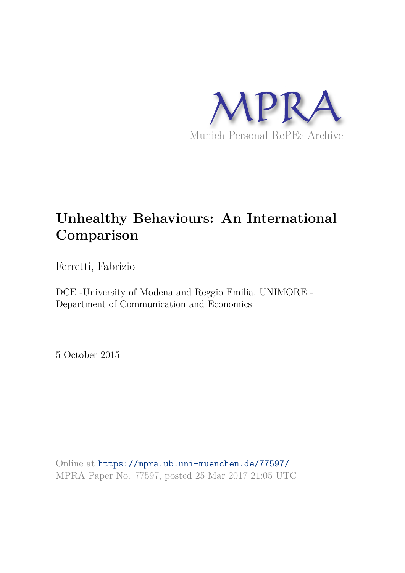

# **Unhealthy Behaviours: An International Comparison**

Ferretti, Fabrizio

DCE -University of Modena and Reggio Emilia, UNIMORE - Department of Communication and Economics

5 October 2015

Online at https://mpra.ub.uni-muenchen.de/77597/ MPRA Paper No. 77597, posted 25 Mar 2017 21:05 UTC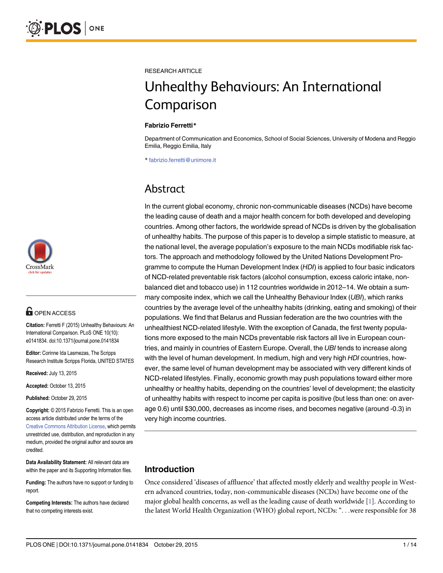

# **G** OPEN ACCESS

Citation: Ferretti F (2015) Unhealthy Behaviours: An International Comparison. PLoS ONE 10(10): e0141834. doi:10.1371/journal.pone.0141834

Editor: Corinne Ida Lasmezas, The Scripps Research Institute Scripps Florida, UNITED STATES

Received: July 13, 2015

Accepted: October 13, 2015

Published: October 29, 2015

Copyright: © 2015 Fabrizio Ferretti. This is an open access article distributed under the terms of the Creative Commons Attribution License, which permits unrestricted use, distribution, and reproduction in any medium, provided the original author and source are credited.

Data Availability Statement: All relevant data are within the paper and its Supporting Information files.

Funding: The authors have no support or funding to report.

Competing Interests: The authors have declared that no competing interests exist.

#### RESEARCH ARTICLE

# Unhealthy Behaviours: An International Comparison

#### Fabrizio Ferretti\*

Department of Communication and Economics, School of Social Sciences, University of Modena and Reggio Emilia, Reggio Emilia, Italy

\* fabrizio.ferretti@unimore.it

# Abstract

In the current global economy, chronic non-communicable diseases (NCDs) have become the leading cause of death and a major health concern for both developed and developing countries. Among other factors, the worldwide spread of NCDs is driven by the globalisation of unhealthy habits. The purpose of this paper is to develop a simple statistic to measure, at the national level, the average population's exposure to the main NCDs modifiable risk factors. The approach and methodology followed by the United Nations Development Programme to compute the Human Development Index (HDI) is applied to four basic indicators of NCD-related preventable risk factors (alcohol consumption, excess caloric intake, nonbalanced diet and tobacco use) in 112 countries worldwide in 2012–14. We obtain a summary composite index, which we call the Unhealthy Behaviour Index (UBI), which ranks countries by the average level of the unhealthy habits (drinking, eating and smoking) of their populations. We find that Belarus and Russian federation are the two countries with the unhealthiest NCD-related lifestyle. With the exception of Canada, the first twenty populations more exposed to the main NCDs preventable risk factors all live in European countries, and mainly in countries of Eastern Europe. Overall, the UBI tends to increase along with the level of human development. In medium, high and very high HDI countries, however, the same level of human development may be associated with very different kinds of NCD-related lifestyles. Finally, economic growth may push populations toward either more unhealthy or healthy habits, depending on the countries' level of development; the elasticity of unhealthy habits with respect to income per capita is positive (but less than one: on average 0.6) until \$30,000, decreases as income rises, and becomes negative (around -0.3) in very high income countries.

# Introduction

Once considered 'diseases of affluence' that affected mostly elderly and wealthy people in Western advanced countries, today, non-communicable diseases (NCDs) have become one of the major global health concerns, as well as the leading cause of death worldwide [1]. According to the latest World Health Organization (WHO) global report, NCDs: "...were responsible for 38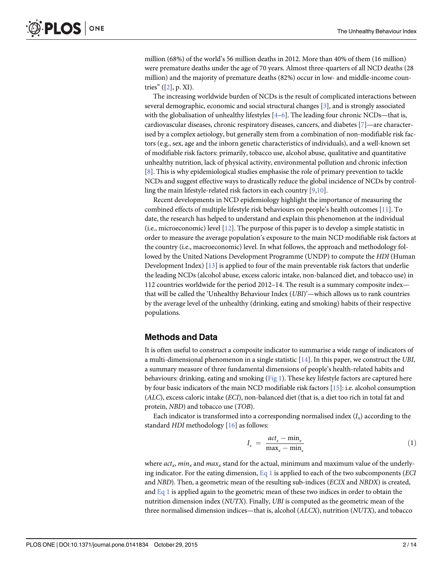million (68%) of the world's 56 million deaths in 2012. More than 40% of them (16 million) were premature deaths under the age of 70 years. Almost three-quarters of all NCD deaths (28 million) and the majority of premature deaths (82%) occur in low- and middle-income countries"  $([\underline{2}], p$ . XI).

The increasing worldwide burden of NCDs is the result of complicated interactions between several demographic, economic and social structural changes [3], and is strongly associated with the globalisation of unhealthy lifestyles  $[4-6]$ . The leading four chronic NCDs—that is, cardiovascular diseases, chronic respiratory diseases, cancers, and diabetes [7]—are characterised by a complex aetiology, but generally stem from a combination of non-modifiable risk factors (e.g., sex, age and the inborn genetic characteristics of individuals), and a well-known set of modifiable risk factors: primarily, tobacco use, alcohol abuse, qualitative and quantitative unhealthy nutrition, lack of physical activity, environmental pollution and chronic infection [8]. This is why epidemiological studies emphasise the role of primary prevention to tackle NCDs and suggest effective ways to drastically reduce the global incidence of NCDs by controlling the main lifestyle-related risk factors in each country [9,10].

Recent developments in NCD epidemiology highlight the importance of measuring the combined effects of multiple lifestyle risk behaviours on people's health outcomes [11]. To date, the research has helped to understand and explain this phenomenon at the individual (i.e., microeconomic) level [12]. The purpose of this paper is to develop a simple statistic in order to measure the average population's exposure to the main NCD modifiable risk factors at the country (i.e., macroeconomic) level. In what follows, the approach and methodology followed by the United Nations Development Programme (UNDP) to compute the HDI (Human Development Index) [13] is applied to four of the main preventable risk factors that underlie the leading NCDs (alcohol abuse, excess caloric intake, non-balanced diet, and tobacco use) in 112 countries worldwide for the period 2012–14. The result is a summary composite index that will be called the 'Unhealthy Behaviour Index (UBI)'—which allows us to rank countries by the average level of the unhealthy (drinking, eating and smoking) habits of their respective populations.

### Methods and Data

It is often useful to construct a composite indicator to summarise a wide range of indicators of a multi-dimensional phenomenon in a single statistic [14]. In this paper, we construct the UBI, a summary measure of three fundamental dimensions of people's health-related habits and behaviours: drinking, eating and smoking  $(Fig_1)$ . These key lifestyle factors are captured here by four basic indicators of the main NCD modifiable risk factors [15]: i.e. alcohol consumption (ALC), excess caloric intake (ECI), non-balanced diet (that is, a diet too rich in total fat and protein, NBD) and tobacco use (TOB).

Each indicator is transformed into a corresponding normalised index  $(I_x)$  according to the standard HDI methodology [16] as follows:

$$
I_x = \frac{act_x - \min_x}{\max_x - \min_x} \tag{1}
$$

where  $act_x$ ,  $min_x$  and  $max_x$  stand for the actual, minimum and maximum value of the underlying indicator. For the eating dimension,  $Eq\ 1$  is applied to each of the two subcomponents (*ECI* and NBD). Then, a geometric mean of the resulting sub-indices (ECIX and NBDX) is created, and Eq 1 is applied again to the geometric mean of these two indices in order to obtain the nutrition dimension index (NUTX). Finally, UBI is computed as the geometric mean of the three normalised dimension indices—that is, alcohol (ALCX), nutrition (NUTX), and tobacco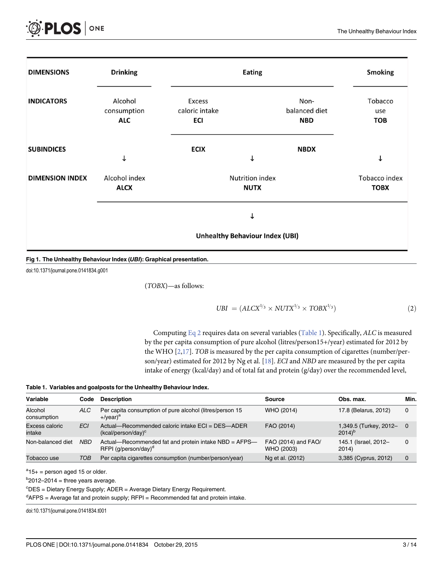

| <b>DIMENSIONS</b>      | <b>Drinking</b>                        | <b>Eating</b>                                 | <b>Smoking</b>                      |                              |  |  |  |
|------------------------|----------------------------------------|-----------------------------------------------|-------------------------------------|------------------------------|--|--|--|
| <b>INDICATORS</b>      | Alcohol<br>consumption<br><b>ALC</b>   | <b>Excess</b><br>caloric intake<br><b>ECI</b> | Non-<br>balanced diet<br><b>NBD</b> | Tobacco<br>use<br><b>TOB</b> |  |  |  |
| <b>SUBINDICES</b>      | ↓                                      | <b>ECIX</b>                                   | <b>NBDX</b><br>↓                    | ↓                            |  |  |  |
| <b>DIMENSION INDEX</b> | Alcohol index<br><b>ALCX</b>           |                                               | Nutrition index<br><b>NUTX</b>      |                              |  |  |  |
|                        |                                        |                                               | ↓                                   |                              |  |  |  |
|                        | <b>Unhealthy Behaviour Index (UBI)</b> |                                               |                                     |                              |  |  |  |

#### Fig 1. The Unhealthy Behaviour Index (UBI): Graphical presentation.

doi:10.1371/journal.pone.0141834.g001

(TOBX)—as follows:

$$
UBI = (ALCX^{1/3} \times NUTX^{1/3} \times TOBX^{1/3})
$$
\n(2)

Computing  $Eq$  2 requires data on several variables (Table 1). Specifically, ALC is measured by the per capita consumption of pure alcohol (litres/person15+/year) estimated for 2012 by the WHO  $[2,17]$ . TOB is measured by the per capita consumption of cigarettes (number/person/year) estimated for 2012 by Ng et al.  $[18]$ . ECI and NBD are measured by the per capita intake of energy (kcal/day) and of total fat and protein (g/day) over the recommended level,

#### Table 1. Variables and goalposts for the Unhealthy Behaviour Index.

| Variable                 | Code       | <b>Description</b>                                                                        | Source                            | Obs. max.                                       | Min. |
|--------------------------|------------|-------------------------------------------------------------------------------------------|-----------------------------------|-------------------------------------------------|------|
| Alcohol<br>consumption   | ALC.       | Per capita consumption of pure alcohol (litres/person 15<br>$+$ /year) <sup>a</sup>       | WHO (2014)                        | 17.8 (Belarus, 2012)                            |      |
| Excess caloric<br>intake | <b>ECI</b> | Actual-Recommended caloric intake ECI = DES-ADER<br>$(kcal/person/day)^c$                 | FAO (2014)                        | 1,349.5 (Turkey, 2012- 0<br>$2014$ <sup>b</sup> |      |
| Non-balanced diet        | <b>NBD</b> | Actual-Recommended fat and protein intake NBD = AFPS-<br>RFPI (g/person/day) <sup>d</sup> | FAO (2014) and FAO/<br>WHO (2003) | 145.1 (Israel, 2012-<br>2014)                   |      |
| Tobacco use              | TOB        | Per capita cigarettes consumption (number/person/year)                                    | Ng et al. (2012)                  | 3,385 (Cyprus, 2012)                            |      |

 $a_{15+}$  = person aged 15 or older.

 $b$ 2012–2014 = three years average.

<sup>c</sup>DES = Dietary Energy Supply; ADER = Average Dietary Energy Requirement.

 $d$ AFPS = Average fat and protein supply; RFPI = Recommended fat and protein intake.

doi:10.1371/journal.pone.0141834.t001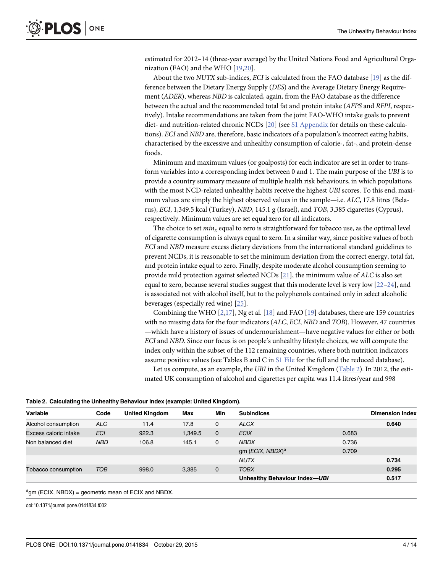estimated for 2012–14 (three-year average) by the United Nations Food and Agricultural Organization (FAO) and the WHO [19,20].

About the two NUTX sub-indices, ECI is calculated from the FAO database [19] as the difference between the Dietary Energy Supply (DES) and the Average Dietary Energy Requirement (ADER), whereas NBD is calculated, again, from the FAO database as the difference between the actual and the recommended total fat and protein intake (AFPS and RFPI, respectively). Intake recommendations are taken from the joint FAO-WHO intake goals to prevent diet- and nutrition-related chronic NCDs [20] (see S1 Appendix for details on these calculations). ECI and NBD are, therefore, basic indicators of a population's incorrect eating habits, characterised by the excessive and unhealthy consumption of calorie-, fat-, and protein-dense foods.

Minimum and maximum values (or goalposts) for each indicator are set in order to transform variables into a corresponding index between 0 and 1. The main purpose of the UBI is to provide a country summary measure of multiple health risk behaviours, in which populations with the most NCD-related unhealthy habits receive the highest UBI scores. To this end, maximum values are simply the highest observed values in the sample—i.e. ALC, 17.8 litres (Belarus), ECI, 1,349.5 kcal (Turkey), NBD, 145.1 g (Israel), and TOB, 3,385 cigarettes (Cyprus), respectively. Minimum values are set equal zero for all indicators.

The choice to set  $min_x$  equal to zero is straightforward for tobacco use, as the optimal level of cigarette consumption is always equal to zero. In a similar way, since positive values of both ECI and NBD measure excess dietary deviations from the international standard guidelines to prevent NCDs, it is reasonable to set the minimum deviation from the correct energy, total fat, and protein intake equal to zero. Finally, despite moderate alcohol consumption seeming to provide mild protection against selected NCDs  $[21]$ , the minimum value of ALC is also set equal to zero, because several studies suggest that this moderate level is very low  $[22-24]$ , and is associated not with alcohol itself, but to the polyphenols contained only in select alcoholic beverages (especially red wine) [25].

Combining the WHO  $[2,17]$ , Ng et al. [18] and FAO [19] databases, there are 159 countries with no missing data for the four indicators (ALC, ECI, NBD and TOB). However, 47 countries —which have a history of issues of undernourishment—have negative values for either or both ECI and NBD. Since our focus is on people's unhealthy lifestyle choices, we will compute the index only within the subset of the 112 remaining countries, where both nutrition indicators assume positive values (see Tables B and C in S1 File for the full and the reduced database).

Let us compute, as an example, the UBI in the United Kingdom (Table 2). In 2012, the estimated UK consumption of alcohol and cigarettes per capita was 11.4 litres/year and 998

| Variable              | Code       | <b>United Kingdom</b> | Max     | Min         | <b>Subindices</b>             |       | <b>Dimension index</b> |
|-----------------------|------------|-----------------------|---------|-------------|-------------------------------|-------|------------------------|
| Alcohol consumption   | ALC        | 11.4                  | 17.8    | 0           | ALCX                          |       | 0.640                  |
| Excess caloric intake | <b>ECI</b> | 922.3                 | 1,349.5 | $\mathbf 0$ | <b>ECIX</b>                   | 0.683 |                        |
| Non balanced diet     | <b>NBD</b> | 106.8                 | 145.1   | 0           | <b>NBDX</b>                   | 0.736 |                        |
|                       |            |                       |         |             | gm (ECIX, NBDX) <sup>a</sup>  | 0.709 |                        |
|                       |            |                       |         |             | <b>NUTX</b>                   |       | 0.734                  |
| Tobacco consumption   | <b>TOB</b> | 998.0                 | 3,385   | 0           | <b>TOBX</b>                   |       | 0.295                  |
|                       |            |                       |         |             | Unhealthy Behaviour Index-UBI |       | 0.517                  |

<sup>a</sup>gm (ECIX, NBDX) = geometric mean of ECIX and NBDX.

doi:10.1371/journal.pone.0141834.t002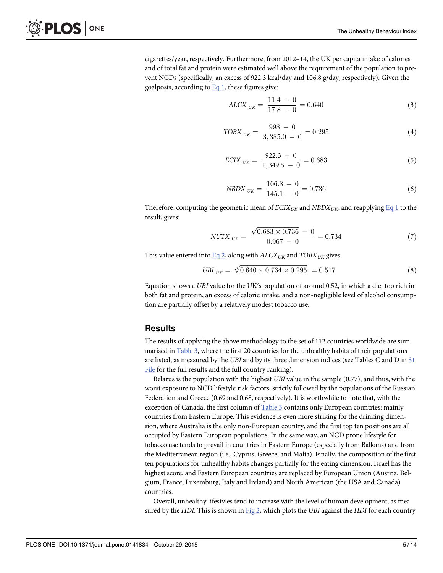cigarettes/year, respectively. Furthermore, from 2012–14, the UK per capita intake of calories and of total fat and protein were estimated well above the requirement of the population to prevent NCDs (specifically, an excess of 922.3 kcal/day and 106.8 g/day, respectively). Given the goalposts, according to  $\underline{Eq 1}$ , these figures give:

$$
ALCX_{UK} = \frac{11.4 - 0}{17.8 - 0} = 0.640
$$
\n(3)

$$
TOBX_{UK} = \frac{998 - 0}{3,385.0 - 0} = 0.295
$$
\n(4)

$$
ECIX_{UK} = \frac{922.3 - 0}{1,349.5 - 0} = 0.683
$$
\n(5)

$$
NBDX_{UK} = \frac{106.8 - 0}{145.1 - 0} = 0.736
$$
 (6)

Therefore, computing the geometric mean of  $ECIX_{UK}$  and  $NBDX_{UK}$ , and reapplying  $Eq 1$  to the result, gives: ffiffiffiffiffiffiffiffiffiffiffiffiffiffiffiffiffiffiffiffiffiffiffiffiffiffiffiffi

$$
NUTX_{UK} = \frac{\sqrt{0.683 \times 0.736} - 0}{0.967 - 0} = 0.734
$$
\n(7)

This value entered into  $\underline{Eq 2}$ , along with  $ALCX_{UK}$  and  $TOBX_{UK}$  gives: ffiffiffiffiffiffiffiffiffiffiffiffiffiffiffiffiffiffiffiffiffiffiffiffiffiffiffiffiffiffiffiffiffiffiffiffiffiffiffiffiffiffiffiffiffi

$$
UBI_{UK} = \sqrt[3]{0.640 \times 0.734 \times 0.295} = 0.517
$$
\n(8)

Equation shows a UBI value for the UK's population of around 0.52, in which a diet too rich in both fat and protein, an excess of caloric intake, and a non-negligible level of alcohol consumption are partially offset by a relatively modest tobacco use.

### Results

The results of applying the above methodology to the set of 112 countries worldwide are summarised in Table 3, where the first 20 countries for the unhealthy habits of their populations are listed, as measured by the UBI and by its three dimension indices (see Tables C and D in S1 File for the full results and the full country ranking).

Belarus is the population with the highest UBI value in the sample (0.77), and thus, with the worst exposure to NCD lifestyle risk factors, strictly followed by the populations of the Russian Federation and Greece (0.69 and 0.68, respectively). It is worthwhile to note that, with the exception of Canada, the first column of Table 3 contains only European countries: mainly countries from Eastern Europe. This evidence is even more striking for the drinking dimension, where Australia is the only non-European country, and the first top ten positions are all occupied by Eastern European populations. In the same way, an NCD prone lifestyle for tobacco use tends to prevail in countries in Eastern Europe (especially from Balkans) and from the Mediterranean region (i.e., Cyprus, Greece, and Malta). Finally, the composition of the first ten populations for unhealthy habits changes partially for the eating dimension. Israel has the highest score, and Eastern European countries are replaced by European Union (Austria, Belgium, France, Luxemburg, Italy and Ireland) and North American (the USA and Canada) countries.

Overall, unhealthy lifestyles tend to increase with the level of human development, as measured by the HDI. This is shown in Fig 2, which plots the UBI against the HDI for each country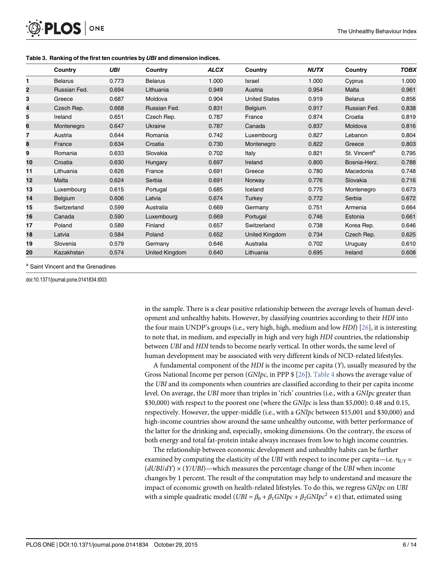|              | Country        | UBI   | Country        | <b>ALCX</b> | Country              | <b>NUTX</b> | Country                  | <b>TOBX</b> |
|--------------|----------------|-------|----------------|-------------|----------------------|-------------|--------------------------|-------------|
| 1            | <b>Belarus</b> | 0.773 | <b>Belarus</b> | 1.000       | Israel               | 1.000       | Cyprus                   | 1.000       |
| $\mathbf{2}$ | Russian Fed.   | 0.694 | Lithuania      | 0.949       | Austria              | 0.954       | Malta                    | 0.961       |
| 3            | Greece         | 0.687 | Moldova        | 0.904       | <b>United States</b> | 0.919       | <b>Belarus</b>           | 0.856       |
| 4            | Czech Rep.     | 0.668 | Russian Fed.   | 0.831       | Belgium              | 0.917       | Russian Fed.             | 0.838       |
| 5            | Ireland        | 0.651 | Czech Rep.     | 0.787       | France               | 0.874       | Croatia                  | 0.819       |
| 6            | Montenegro     | 0.647 | Ukraine        | 0.787       | Canada               | 0.837       | Moldova                  | 0.816       |
| 7            | Austria        | 0.644 | Romania        | 0.742       | Luxembourg           | 0.827       | Lebanon                  | 0.804       |
| 8            | France         | 0.634 | Croatia        | 0.730       | Montenegro           | 0.822       | Greece                   | 0.803       |
| 9            | Romania        | 0.633 | Slovakia       | 0.702       | Italy                | 0.821       | St. Vincent <sup>a</sup> | 0.795       |
| 10           | Croatia        | 0.630 | Hungary        | 0.697       | Ireland              | 0.800       | Bosnia-Herz.             | 0.788       |
| 11           | Lithuania      | 0.626 | France         | 0.691       | Greece               | 0.780       | Macedonia                | 0.748       |
| 12           | Malta          | 0.624 | Serbia         | 0.691       | Norway               | 0.776       | Slovakia                 | 0.716       |
| 13           | Luxembourg     | 0.615 | Portugal       | 0.685       | Iceland              | 0.775       | Montenegro               | 0.673       |
| 14           | Belgium        | 0.606 | Latvia         | 0.674       | Turkey               | 0.772       | Serbia                   | 0.672       |
| 15           | Switzerland    | 0.599 | Australia      | 0.669       | Germany              | 0.751       | Armenia                  | 0.664       |
| 16           | Canada         | 0.590 | Luxembourg     | 0.669       | Portugal             | 0.746       | Estonia                  | 0.661       |
| 17           | Poland         | 0.589 | Finland        | 0.657       | Switzerland          | 0.738       | Korea Rep.               | 0.646       |
| 18           | Latvia         | 0.584 | Poland         | 0.652       | United Kingdom       | 0.734       | Czech Rep.               | 0.625       |
| 19           | Slovenia       | 0.579 | Germany        | 0.646       | Australia            | 0.702       | Uruguay                  | 0.610       |
| 20           | Kazakhstan     | 0.574 | United Kingdom | 0.640       | Lithuania            | 0.695       | Ireland                  | 0.608       |

#### Table 3. Ranking of the first ten countries by UBI and dimension indices.

a Saint Vincent and the Grenadines

doi:10.1371/journal.pone.0141834.t003

in the sample. There is a clear positive relationship between the average levels of human development and unhealthy habits. However, by classifying countries according to their HDI into the four main UNDP's groups (i.e., very high, high, medium and low HDI) [26], it is interesting to note that, in medium, and especially in high and very high HDI countries, the relationship between UBI and HDI tends to become nearly vertical. In other words, the same level of human development may be associated with very different kinds of NCD-related lifestyles.

A fundamental component of the  $HDI$  is the income per capita  $(Y)$ , usually measured by the Gross National Income per person ( $GNlpc$ , in PPP  $$ [26]$ ). Table 4 shows the average value of the UBI and its components when countries are classified according to their per capita income level. On average, the UBI more than triples in 'rich' countries (i.e., with a GNIpc greater than \$30,000) with respect to the poorest one (where the *GNIpc* is less than \$5,000): 0.48 and 0.15, respectively. However, the upper-middle (i.e., with a GNIpc between \$15,001 and \$30,000) and high-income countries show around the same unhealthy outcome, with better performance of the latter for the drinking and, especially, smoking dimensions. On the contrary, the excess of both energy and total fat-protein intake always increases from low to high income countries.

The relationship between economic development and unhealthy habits can be further examined by computing the elasticity of the UBI with respect to income per capita—i.e.  $\eta_{UV}$  =  $(dUBI/dY) \times (Y/UBI)$ —which measures the percentage change of the UBI when income changes by 1 percent. The result of the computation may help to understand and measure the impact of economic growth on health-related lifestyles. To do this, we regress GNIpc on UBI with a simple quadratic model ( $UBI = \beta_0 + \beta_1 GNIpc + \beta_2 GNIpc^2 + \epsilon$ ) that, estimated using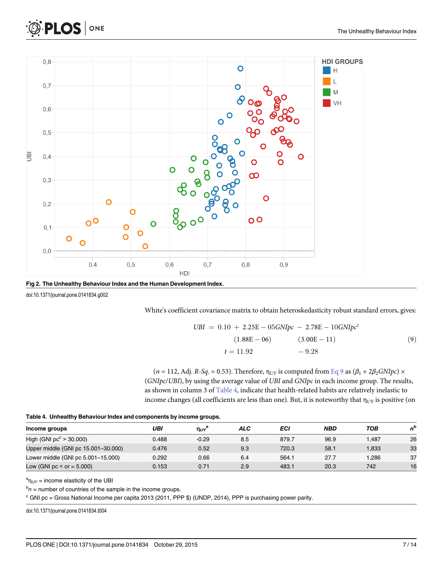



Fig 2. The Unhealthy Behaviour Index and the Human Development Index.

doi:10.1371/journal.pone.0141834.g002

White's coefficient covariance matrix to obtain heteroskedasticity robust standard errors, gives:

$$
UBI = 0.10 + 2.25E - 05GNIpc - 2.78E - 10GNIpc2
$$
  
(1.88E – 06) (3.00E – 11)  
 $t = 11.92 - 9.28$  (9)

(n = 112, Adj. R-Sq. = 0.53). Therefore,  $\eta_{UY}$  is computed from <u>Eq 9</u> as ( $\beta_1$  + 2 $\beta_2$ GNIpc) × (GNIpc/UBI), by using the average value of UBI and GNIpc in each income group. The results, as shown in column 3 of Table 4, indicate that health-related habits are relatively inelastic to income changes (all coefficients are less than one). But, it is noteworthy that  $\eta_{UY}$  is positive (on

#### Table 4. Unhealthy Behaviour Index and components by income groups.

| Income groups                       | UBI   | $\eta_{UV}^{\text{a}}$ | <b>ALC</b> | ECI   | <b>NBD</b> | TOB   | $n^{\rm b}$ |
|-------------------------------------|-------|------------------------|------------|-------|------------|-------|-------------|
| High (GNI $pcc > 30.000$ )          | 0.488 | $-0.29$                | 8.5        | 879.7 | 96.9       | 1.487 | 26          |
| Upper middle (GNI pc 15.001-30.000) | 0.476 | 0.52                   | 9.3        | 720.3 | 58.1       | 1,833 | 33          |
| Lower middle (GNI pc 5.001-15.000)  | 0.292 | 0.66                   | 6.4        | 564.1 | 27.7       | 1.286 | 37          |
| Low (GNI $pc < or = 5.000$ )        | 0.153 | 0.71                   | 2.9        | 483.1 | 20.3       | 742   | 16          |

 ${}^{\rm a}$ η $_{\rm UV}$  = income elasticity of the UBI

 $b_n$  = number of countries of the sample in the income groups.

<sup>c</sup> GNI pc = Gross National Income per capita 2013 (2011, PPP \$) (UNDP, 2014), PPP is purchasing power parity.

doi:10.1371/journal.pone.0141834.t004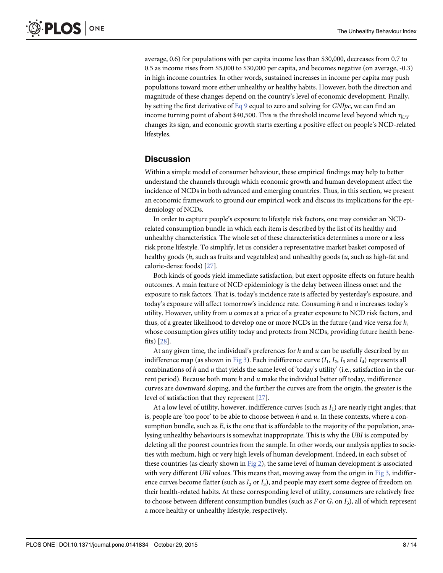average, 0.6) for populations with per capita income less than \$30,000, decreases from 0.7 to 0.5 as income rises from \$5,000 to \$30,000 per capita, and becomes negative (on average, -0.3) in high income countries. In other words, sustained increases in income per capita may push populations toward more either unhealthy or healthy habits. However, both the direction and magnitude of these changes depend on the country's level of economic development. Finally, by setting the first derivative of  $Eq 9$  equal to zero and solving for  $GNlpc$ , we can find an income turning point of about \$40,500. This is the threshold income level beyond which  $\eta_{UV}$ changes its sign, and economic growth starts exerting a positive effect on people's NCD-related lifestyles.

### **Discussion**

Within a simple model of consumer behaviour, these empirical findings may help to better understand the channels through which economic growth and human development affect the incidence of NCDs in both advanced and emerging countries. Thus, in this section, we present an economic framework to ground our empirical work and discuss its implications for the epidemiology of NCDs.

In order to capture people's exposure to lifestyle risk factors, one may consider an NCDrelated consumption bundle in which each item is described by the list of its healthy and unhealthy characteristics. The whole set of these characteristics determines a more or a less risk prone lifestyle. To simplify, let us consider a representative market basket composed of healthy goods  $(h, \text{such as fruits and vegetables})$  and unhealthy goods  $(u, \text{such as high-fat and $i$$ calorie-dense foods) [27].

Both kinds of goods yield immediate satisfaction, but exert opposite effects on future health outcomes. A main feature of NCD epidemiology is the delay between illness onset and the exposure to risk factors. That is, today's incidence rate is affected by yesterday's exposure, and today's exposure will affect tomorrow's incidence rate. Consuming  $h$  and  $u$  increases today's utility. However, utility from u comes at a price of a greater exposure to NCD risk factors, and thus, of a greater likelihood to develop one or more NCDs in the future (and vice versa for h, whose consumption gives utility today and protects from NCDs, providing future health benefits) [28].

At any given time, the individual's preferences for  $h$  and  $u$  can be usefully described by an indifference map (as shown in  $\underline{\mathrm{Fig}}$  3). Each indifference curve ( $I_1, I_2, I_3$  and  $I_4$ ) represents all combinations of h and  $u$  that yields the same level of 'today's utility' (i.e., satisfaction in the current period). Because both more  $h$  and  $u$  make the individual better off today, indifference curves are downward sloping, and the further the curves are from the origin, the greater is the level of satisfaction that they represent [27].

At a low level of utility, however, indifference curves (such as  $I_1$ ) are nearly right angles; that is, people are 'too poor' to be able to choose between h and  $u$ . In these contexts, where a consumption bundle, such as  $E$ , is the one that is affordable to the majority of the population, analysing unhealthy behaviours is somewhat inappropriate. This is why the UBI is computed by deleting all the poorest countries from the sample. In other words, our analysis applies to societies with medium, high or very high levels of human development. Indeed, in each subset of these countries (as clearly shown in Fig  $2$ ), the same level of human development is associated with very different UBI values. This means that, moving away from the origin in Fig  $3$ , indifference curves become flatter (such as  $I_2$  or  $I_3$ ), and people may exert some degree of freedom on their health-related habits. At these corresponding level of utility, consumers are relatively free to choose between different consumption bundles (such as  $F$  or  $G$ , on  $I_3$ ), all of which represent a more healthy or unhealthy lifestyle, respectively.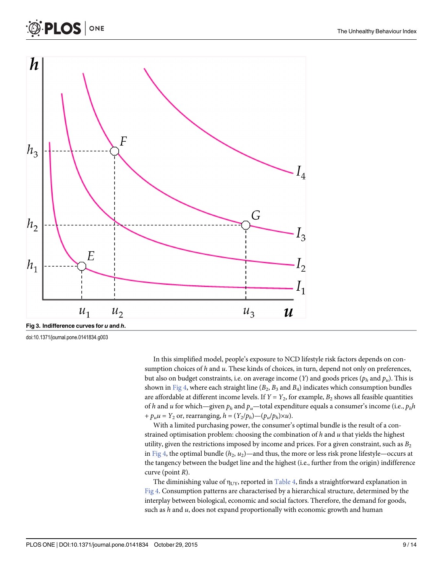

doi:10.1371/journal.pone.0141834.g003

LOS I

ONE

In this simplified model, people's exposure to NCD lifestyle risk factors depends on consumption choices of  $h$  and  $u$ . These kinds of choices, in turn, depend not only on preferences, but also on budget constraints, i.e. on average income (Y) and goods prices ( $p_h$  and  $p_u$ ). This is shown in  $\underline{\mathrm{Fig}\ 4},$  where each straight line ( $B_2$ ,  $B_3$  and  $B_4$ ) indicates which consumption bundles are affordable at different income levels. If  $Y = Y_2$ , for example,  $B_2$  shows all feasible quantities of h and u for which—given  $p_h$  and  $p_u$ —total expenditure equals a consumer's income (i.e.,  $p_h h$ +  $p_u u = Y_2$  or, rearranging,  $h = (Y_2/p_h) - (p_u/p_h) \times u$ .

With a limited purchasing power, the consumer's optimal bundle is the result of a constrained optimisation problem: choosing the combination of  $h$  and  $u$  that yields the highest utility, given the restrictions imposed by income and prices. For a given constraint, such as  $B_2$ in  $\underline{\mathrm{Fig 4}}$ , the optimal bundle  $(h_2, u_2)$ —and thus, the more or less risk prone lifestyle—occurs at the tangency between the budget line and the highest (i.e., further from the origin) indifference curve (point  $R$ ).

The diminishing value of  $\eta_{UV}$ , reported in Table 4, finds a straightforward explanation in Fig 4. Consumption patterns are characterised by a hierarchical structure, determined by the interplay between biological, economic and social factors. Therefore, the demand for goods, such as  $h$  and  $u$ , does not expand proportionally with economic growth and human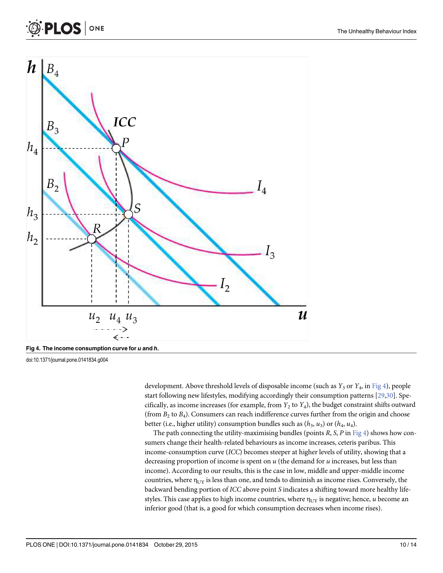



doi:10.1371/journal.pone.0141834.g004

development. Above threshold levels of disposable income (such as  $Y_3$  or  $Y_4$ , in  $\underline{\text{Fig 4}}$ ), people start following new lifestyles, modifying accordingly their consumption patterns [29,30]. Specifically, as income increases (for example, from  $Y_2$  to  $Y_4$ ), the budget constraint shifts outward (from  $B_2$  to  $B_4$ ). Consumers can reach indifference curves further from the origin and choose better (i.e., higher utility) consumption bundles such as  $(h_3, u_3)$  or  $(h_4, u_4)$ .

The path connecting the utility-maximising bundles (points  $R$ ,  $S$ ,  $P$  in Fig 4) shows how consumers change their health-related behaviours as income increases, ceteris paribus. This income-consumption curve (ICC) becomes steeper at higher levels of utility, showing that a decreasing proportion of income is spent on  $u$  (the demand for  $u$  increases, but less than income). According to our results, this is the case in low, middle and upper-middle income countries, where  $\eta_{UV}$  is less than one, and tends to diminish as income rises. Conversely, the backward bending portion of ICC above point S indicates a shifting toward more healthy lifestyles. This case applies to high income countries, where  $\eta_{UV}$  is negative; hence, u become an inferior good (that is, a good for which consumption decreases when income rises).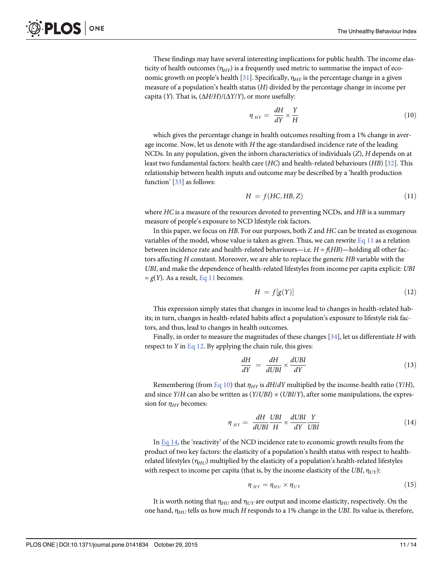These findings may have several interesting implications for public health. The income elasticity of health outcomes ( $\eta_{HV}$ ) is a frequently used metric to summarise the impact of economic growth on people's health [31]. Specifically,  $\eta_{HY}$  is the percentage change in a given measure of a population's health status  $(H)$  divided by the percentage change in income per capita (Y). That is,  $(\Delta H/H)/(\Delta Y/Y)$ , or more usefully:

$$
\eta_{HY} = \frac{dH}{dY} \times \frac{Y}{H} \tag{10}
$$

which gives the percentage change in health outcomes resulting from a 1% change in average income. Now, let us denote with  $H$  the age-standardised incidence rate of the leading NCDs. In any population, given the inborn characteristics of individuals  $(Z)$ , H depends on at least two fundamental factors: health care (HC) and health-related behaviours (HB) [32]. This relationship between health inputs and outcome may be described by a 'health production function'  $[33]$  as follows:

$$
H = f(HC, HB, Z) \tag{11}
$$

where  $HC$  is a measure of the resources devoted to preventing NCDs, and  $HB$  is a summary measure of people's exposure to NCD lifestyle risk factors.

In this paper, we focus on HB. For our purposes, both Z and HC can be treated as exogenous variables of the model, whose value is taken as given. Thus, we can rewrite Eq 11 as a relation between incidence rate and health-related behaviours—i.e.  $H = f(HB)$ —holding all other factors affecting H constant. Moreover, we are able to replace the generic HB variable with the UBI, and make the dependence of health-related lifestyles from income per capita explicit: UBI  $= g(Y)$ . As a result,  $\underline{Eq 11}$  becomes:

$$
H = f[g(Y)] \tag{12}
$$

This expression simply states that changes in income lead to changes in health-related habits; in turn, changes in health-related habits affect a population's exposure to lifestyle risk factors, and thus, lead to changes in health outcomes.

Finally, in order to measure the magnitudes of these changes  $[34]$ , let us differentiate H with respect to  $Y$  in  $Eq$  12. By applying the chain rule, this gives:

$$
\frac{dH}{dY} = \frac{dH}{dUBI} \times \frac{dUBI}{dY} \tag{13}
$$

Remembering (from  $\underline{Eq}$  10) that  $\eta_{HY}$  is  $dH/dY$  multiplied by the income-health ratio (Y/H), and since  $Y/H$  can also be written as  $(Y/UBI) \times (UBI/Y)$ , after some manipulations, the expression for  $\eta_{HY}$  becomes:

$$
\eta_{HY} = \frac{dH}{dUBI} \frac{UBI}{H} \times \frac{dUBI}{dY} \frac{Y}{UBI}
$$
(14)

In  $Eq$  14, the 'reactivity' of the NCD incidence rate to economic growth results from the product of two key factors: the elasticity of a population's health status with respect to healthrelated lifestyles ( $\eta_{HU}$ ) multiplied by the elasticity of a population's health-related lifestyles with respect to income per capita (that is, by the income elasticity of the UBI,  $\eta_{UV}$ ):

$$
\eta_{HY} = \eta_{HU} \times \eta_{UY} \tag{15}
$$

It is worth noting that  $\eta_{HU}$  and  $\eta_{UY}$  are output and income elasticity, respectively. On the one hand,  $\eta_{HU}$  tells us how much H responds to a 1% change in the UBI. Its value is, therefore,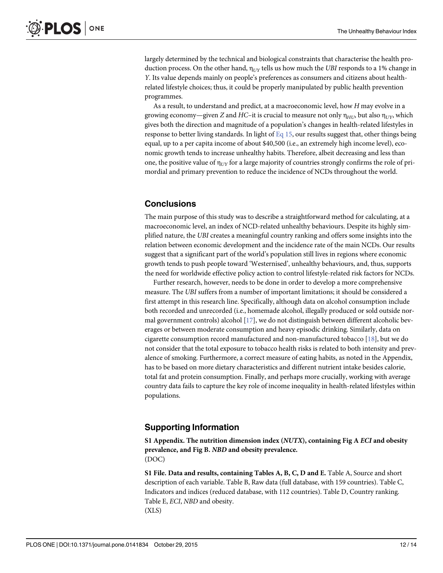largely determined by the technical and biological constraints that characterise the health production process. On the other hand,  $\eta_{UV}$  tells us how much the UBI responds to a 1% change in Y. Its value depends mainly on people's preferences as consumers and citizens about healthrelated lifestyle choices; thus, it could be properly manipulated by public health prevention programmes.

As a result, to understand and predict, at a macroeconomic level, how H may evolve in a growing economy—given Z and HC–it is crucial to measure not only  $\eta_{HU}$ , but also  $\eta_{UY}$ , which gives both the direction and magnitude of a population's changes in health-related lifestyles in response to better living standards. In light of  $Eq$  15, our results suggest that, other things being equal, up to a per capita income of about \$40,500 (i.e., an extremely high income level), economic growth tends to increase unhealthy habits. Therefore, albeit decreasing and less than one, the positive value of  $\eta_{UV}$  for a large majority of countries strongly confirms the role of primordial and primary prevention to reduce the incidence of NCDs throughout the world.

## **Conclusions**

The main purpose of this study was to describe a straightforward method for calculating, at a macroeconomic level, an index of NCD-related unhealthy behaviours. Despite its highly simplified nature, the UBI creates a meaningful country ranking and offers some insights into the relation between economic development and the incidence rate of the main NCDs. Our results suggest that a significant part of the world's population still lives in regions where economic growth tends to push people toward 'Westernised', unhealthy behaviours, and, thus, supports the need for worldwide effective policy action to control lifestyle-related risk factors for NCDs.

Further research, however, needs to be done in order to develop a more comprehensive measure. The UBI suffers from a number of important limitations; it should be considered a first attempt in this research line. Specifically, although data on alcohol consumption include both recorded and unrecorded (i.e., homemade alcohol, illegally produced or sold outside normal government controls) alcohol  $[17]$ , we do not distinguish between different alcoholic beverages or between moderate consumption and heavy episodic drinking. Similarly, data on cigarette consumption record manufactured and non-manufactured tobacco [18], but we do not consider that the total exposure to tobacco health risks is related to both intensity and prevalence of smoking. Furthermore, a correct measure of eating habits, as noted in the Appendix, has to be based on more dietary characteristics and different nutrient intake besides calorie, total fat and protein consumption. Finally, and perhaps more crucially, working with average country data fails to capture the key role of income inequality in health-related lifestyles within populations.

### Supporting Information

S1 Appendix. The nutrition dimension index (NUTX), containing Fig A ECI and obesity prevalence, and Fig B. NBD and obesity prevalence. (DOC)

S1 File. Data and results, containing Tables A, B, C, D and E. Table A, Source and short description of each variable. Table B, Raw data (full database, with 159 countries). Table C, Indicators and indices (reduced database, with 112 countries). Table D, Country ranking. Table E, ECI, NBD and obesity. (XLS)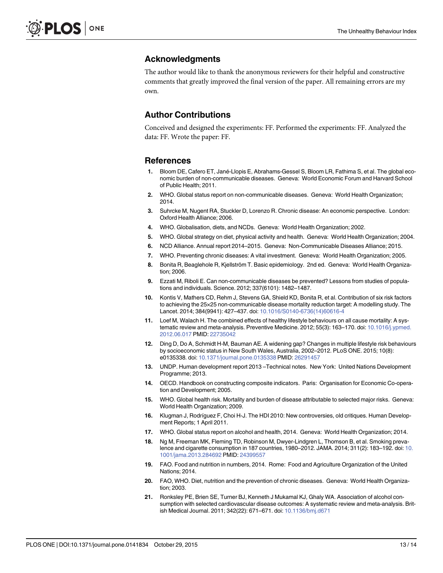## Acknowledgments

The author would like to thank the anonymous reviewers for their helpful and constructive comments that greatly improved the final version of the paper. All remaining errors are my own.

# Author Contributions

Conceived and designed the experiments: FF. Performed the experiments: FF. Analyzed the data: FF. Wrote the paper: FF.

### References

- 1. Bloom DE, Cafero ET, Jané-Llopis E, Abrahams-Gessel S, Bloom LR, Fathima S, et al. The global economic burden of non-communicable diseases. Geneva: World Economic Forum and Harvard School of Public Health; 2011.
- 2. WHO. Global status report on non-communicable diseases. Geneva: World Health Organization; 2014.
- 3. Suhrcke M, Nugent RA, Stuckler D, Lorenzo R. Chronic disease: An economic perspective. London: Oxford Health Alliance; 2006.
- 4. WHO. Globalisation, diets, and NCDs. Geneva: World Health Organization; 2002.
- 5. WHO. Global strategy on diet, physical activity and health. Geneva: World Health Organization; 2004.
- 6. NCD Alliance. Annual report 2014–2015. Geneva: Non-Communicable Diseases Alliance; 2015.
- 7. WHO. Preventing chronic diseases: A vital investment. Geneva: World Health Organization; 2005.
- 8. Bonita R, Beaglehole R, Kjellström T. Basic epidemiology. 2nd ed. Geneva: World Health Organization; 2006.
- 9. Ezzati M, Riboli E. Can non-communicable diseases be prevented? Lessons from studies of populations and individuals. Science. 2012; 337(6101): 1482–1487.
- 10. Kontis V, Mathers CD, Rehm J, Stevens GA, Shield KD, Bonita R, et al. Contribution of six risk factors to achieving the 25×25 non-communicable disease mortality reduction target: A modelling study. The Lancet. 2014; 384(9941): 427–437. doi: 10.1016/S0140-6736(14)60616-4
- 11. Loef M, Walach H. The combined effects of healthy lifestyle behaviours on all cause mortality: A systematic review and meta-analysis. Preventive Medicine. 2012; 55(3): 163-170. doi: 10.1016/j.ypmed. 2012.06.017 PMID: 22735042
- 12. Ding D, Do A, Schmidt H-M, Bauman AE. A widening gap? Changes in multiple lifestyle risk behaviours by socioeconomic status in New South Wales, Australia, 2002–2012. PLoS ONE. 2015; 10(8): e0135338. doi: 10.1371/journal.pone.0135338 PMID: 26291457
- 13. UNDP. Human development report 2013 –Technical notes. New York: United Nations Development Programme; 2013.
- 14. OECD. Handbook on constructing composite indicators. Paris: Organisation for Economic Co-operation and Development; 2005.
- 15. WHO. Global health risk. Mortality and burden of disease attributable to selected major risks. Geneva: World Health Organization; 2009.
- 16. Klugman J, Rodríguez F, Choi H-J. The HDI 2010: New controversies, old critiques. Human Development Reports; 1 April 2011.
- 17. WHO. Global status report on alcohol and health, 2014. Geneva: World Health Organization; 2014.
- 18. Ng M, Freeman MK, Fleming TD, Robinson M, Dwyer-Lindgren L, Thomson B, et al. Smoking prevalence and cigarette consumption in 187 countries, 1980–2012. JAMA. 2014; 311(2): 183–192. doi: 10. 1001/jama.2013.284692 PMID: 24399557
- 19. FAO. Food and nutrition in numbers, 2014. Rome: Food and Agriculture Organization of the United Nations; 2014.
- 20. FAO, WHO. Diet, nutrition and the prevention of chronic diseases. Geneva: World Health Organization; 2003.
- 21. Ronksley PE, Brien SE, Turner BJ, Kenneth J Mukamal KJ, Ghaly WA. Association of alcohol consumption with selected cardiovascular disease outcomes: A systematic review and meta-analysis. British Medical Journal. 2011; 342(22): 671–671. doi: 10.1136/bmj.d671